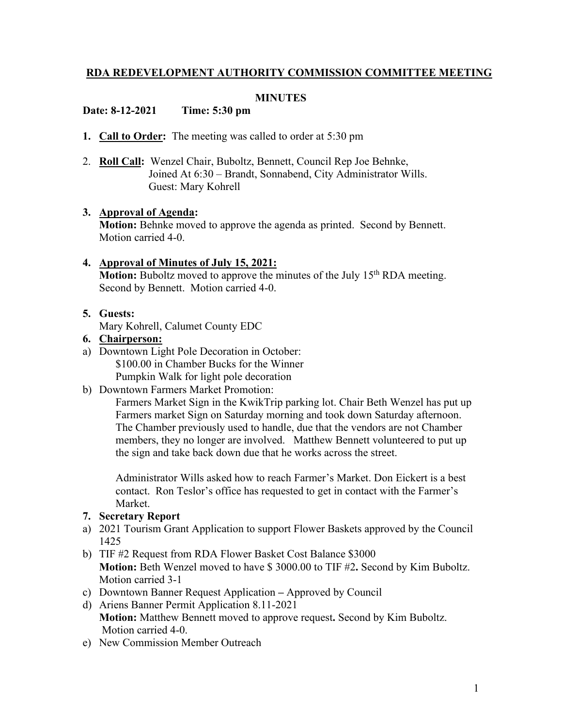## **RDA REDEVELOPMENT AUTHORITY COMMISSION COMMITTEE MEETING**

#### **MINUTES**

### **Date: 8-12-2021 Time: 5:30 pm**

- **1. Call to Order:** The meeting was called to order at 5:30 pm
- 2. **Roll Call:** Wenzel Chair, Buboltz, Bennett, Council Rep Joe Behnke, Joined At 6:30 – Brandt, Sonnabend, City Administrator Wills. Guest: Mary Kohrell

#### **3. Approval of Agenda:**

**Motion:** Behnke moved to approve the agenda as printed. Second by Bennett. Motion carried 4-0.

# **4. Approval of Minutes of July 15, 2021:**

**Motion:** Buboltz moved to approve the minutes of the July 15<sup>th</sup> RDA meeting. Second by Bennett. Motion carried 4-0.

#### **5. Guests:**

Mary Kohrell, Calumet County EDC

### **6. Chairperson:**

- a) Downtown Light Pole Decoration in October: \$100.00 in Chamber Bucks for the Winner Pumpkin Walk for light pole decoration
- b) Downtown Farmers Market Promotion:

Farmers Market Sign in the KwikTrip parking lot. Chair Beth Wenzel has put up Farmers market Sign on Saturday morning and took down Saturday afternoon. The Chamber previously used to handle, due that the vendors are not Chamber members, they no longer are involved. Matthew Bennett volunteered to put up the sign and take back down due that he works across the street.

Administrator Wills asked how to reach Farmer's Market. Don Eickert is a best contact. Ron Teslor's office has requested to get in contact with the Farmer's Market.

### **7. Secretary Report**

- a) 2021 Tourism Grant Application to support Flower Baskets approved by the Council 1425
- b) TIF #2 Request from RDA Flower Basket Cost Balance \$3000 **Motion:** Beth Wenzel moved to have \$ 3000.00 to TIF #2**.** Second by Kim Buboltz. Motion carried 3-1
- c) Downtown Banner Request Application **–** Approved by Council
- d) Ariens Banner Permit Application 8.11-2021 **Motion:** Matthew Bennett moved to approve request**.** Second by Kim Buboltz. Motion carried 4-0.
- e) New Commission Member Outreach